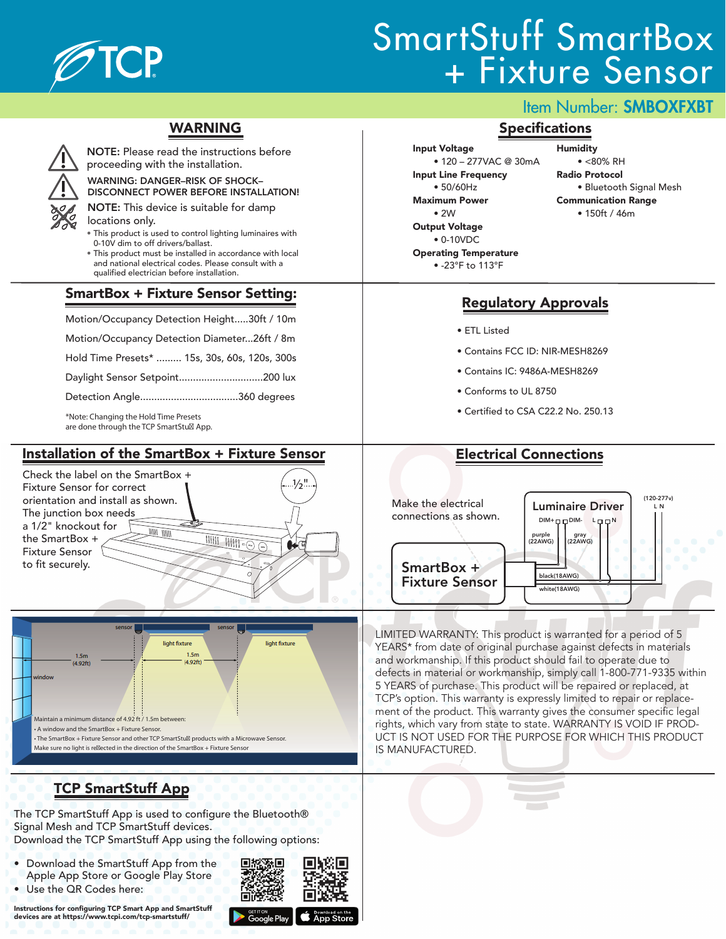

# SmartStuff SmartBox + Fixture Sensor

### WARNING



WARNING: DANGER–RISK OF SHOCK– proceeding with the installation.

NOTE: Please read the instructions before

DISCONNECT POWER BEFORE INSTALLATION! NOTE: This device is suitable for damp

- locations only.
	- This product is used to control lighting luminaires with 0-10V dim to off drivers/ballast.
- This product must be installed in accordance with local and national electrical codes. Please consult with a qualified electrician before installation.

#### SmartBox + Fixture Sensor Setting:

Motion/Occupancy Detection Height..... 30ft / 10m Motion/Occupancy Detection Diameter...26ft / 8m Hold Time Presets\* ......... 15s, 30s, 60s, 120s, 300s Daylight Sensor Setpoint.............................. 200 lux Detection Angle................................... 360 degrees

\*Note: Changing the Hold Time Presets are done through the TCP SmartStu<sup>®</sup> App.

#### Installation of the SmartBox + Fixture Sensor

Check the label on the SmartBox +  $\frac{1}{2}$ " Fixture Sensor for correct orientation and install as shown. The junction box needs a 1/2" knockout for un nuu the SmartBox +  $\overline{\mathfrak{m}}$  $\overline{\mathbb{H}\mathbb{H}\circ \ominus}$ Fixture Sensor to fit securely.



# TCP SmartStuff App

The TCP SmartStuff App is used to configure the Bluetooth® Signal Mesh and TCP SmartStuff devices. Download the TCP SmartStuff App using the following options:

- 同地
- Download the SmartStuff App from the Apple App Store or Google Play Store
- Use the QR Codes here:

Instructions for configuring TCP Smart App and SmartStuff devices are at https://www.tcpi.com/tcp-smartstuff/



Input Voltage • 120 – 277VAC @ 30mA Input Line Frequency • 50/60Hz Maximum Power • 2W Output Voltage • 0-10VDC Operating Temperature

Item Number: SMBOXFXBT

#### **Specifications**

Humidity

 $\bullet$  <80% RH Radio Protocol

- Bluetooth Signal Mesh
- Communication Range
	- 150ft / 46m

• -23°F to 113°F

### Regulatory Approvals

- ETL Listed
- Contains FCC ID: NIR-MESH8269
- Contains IC: 9486A-MESH8269
- Conforms to UL 8750
- Certified to CSA C22.2 No. 250.13

## Electrical Connections



LIMITED WARRANTY: This product is warranted for a period of 5 YEARS\* from date of original purchase against defects in materials and workmanship. If this product should fail to operate due to defects in material or workmanship, simply call 1-800-771-9335 within 5 YEARS of purchase. This product will be repaired or replaced, at TCP's option. This warranty is expressly limited to repair or replacement of the product. This warranty gives the consumer specific legal rights, which vary from state to state. WARRANTY IS VOID IF PROD-UCT IS NOT USED FOR THE PURPOSE FOR WHICH THIS PRODUCT IS MANUFACTURED.